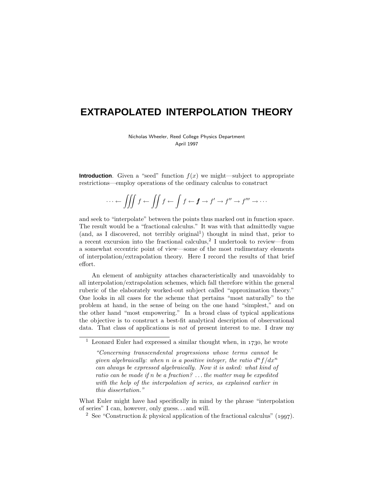# **EXTRAPOLATED INTERPOLATION THEORY**

Nicholas Wheeler, Reed College Physics Department April 1997

**Introduction**. Given a "seed" function  $f(x)$  we might—subject to appropriate restrictions—employ operations of the ordinary calculus to construct

$$
\cdots \leftarrow \iiint f \leftarrow \iint f \leftarrow \int f \leftarrow f \rightarrow f' \rightarrow f'' \rightarrow f''' \rightarrow \cdots
$$

and seek to "interpolate" between the points thus marked out in function space. The result would be a "fractional calculus." It was with that admittedly vague (and, as I discovered, not terribly original<sup>1</sup>) thought in mind that, prior to a recent excursion into the fractional calculus,<sup>2</sup> I undertook to review—from a somewhat eccentric point of view—some of the most rudimentary elements of interpolation/extrapolation theory. Here I record the results of that brief effort.

An element of ambiguity attaches characteristically and unavoidably to all interpolation/extrapolation schemes, which fall therefore within the general ruberic of the elaborately worked-out subject called "approximation theory." One looks in all cases for the scheme that pertains "most naturally" to the problem at hand, in the sense of being on the one hand "simplest," and on the other hand "most empowering." In a broad class of typical applications the objective is to construct a best-fit analytical description of observational data. That class of applications is not of present interest to me. I draw my

What Euler might have had specifically in mind by the phrase "interpolation of series" I can, however, only guess*...* and will.

<sup>&</sup>lt;sup>1</sup> Leonard Euler had expressed a similar thought when, in  $1730$ , he wrote

<sup>&</sup>quot;Concerning transcendental progressions whose terms cannot be given algebraically: when *n* is a positive integer, the ratio  $d^n f/dx^n$ can always be expressed algebraically. Now it is asked: what kind of ratio can be made if *n* be a fraction? *...*the matter may be expedited with the help of the interpolation of series, as explained earlier in this dissertation."

<sup>&</sup>lt;sup>2</sup> See "Construction & physical application of the fractional calculus" (1997).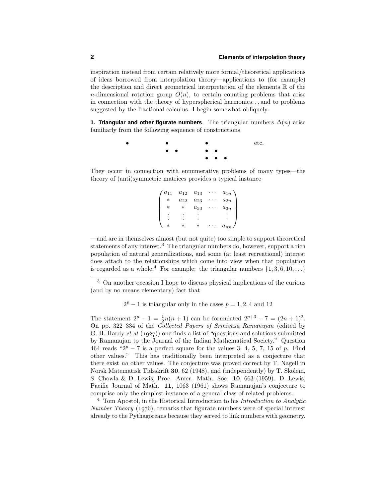inspiration instead from certain relatively more formal/theoretical applications of ideas borrowed from interpolation theory—applications to (for example) the description and direct geometrical interpretation of the elements  $\mathbb R$  of the *n*-dimensional rotation group  $O(n)$ , to certain counting problems that arise in connection with the theory of hyperspherical harmonics*...* and to problems suggested by the fractional calculus. I begin somewhat obliquely:

**1. Triangular and other figurate numbers**. The triangular numbers  $\Delta(n)$  arise familiarly from the following sequence of constructions

> • • • • • • • ••• etc.

They occur in connection with ennumerative problems of many types—the theory of (anti)symmetric matrices provides a typical instance

| $a_{11}$ | $a_{12}$ | $a_{13}$ | $a_{1n}$ |
|----------|----------|----------|----------|
| $^\ast$  | $a_{22}$ | $a_{23}$ | $a_{2n}$ |
| $^\ast$  | $^\ast$  | $a_{33}$ | $a_{3n}$ |
|          |          |          |          |
|          |          |          |          |
| $^\ast$  | $^\star$ | $^\star$ | $a_{nn}$ |

—and are in themselves almost (but not quite) too simple to support theoretical statements of any interest.<sup>3</sup> The triangular numbers do, however, support a rich population of natural generalizations, and some (at least recreational) interest does attach to the relationships which come into view when that population is regarded as a whole.<sup>4</sup> For example: the triangular numbers  $\{1, 3, 6, 10, \ldots\}$ 

<sup>3</sup> On another occasion I hope to discuss physical implications of the curious (and by no means elementary) fact that

 $2^p - 1$  is triangular only in the cases  $p = 1, 2, 4$  and 12

The statement  $2^p - 1 = \frac{1}{2}n(n+1)$  can be formulated  $2^{p+3} - 7 = (2n+1)^2$ . On pp. 322–334 of the Collected Papers of Srinivasa Ramanujan (edited by G. H. Hardy et al  $(1927)$  one finds a list of "questions and solutions submitted by Ramanujan to the Journal of the Indian Mathematical Society." Question 464 reads " $2^p - 7$  is a perfect square for the values 3, 4, 5, 7, 15 of p. Find other values." This has traditionally been interpreted as a conjecture that there exist no other values. The conjecture was proved correct by T. Nagell in Norsk Matematisk Tidsskrift **30**, 62 (1948), and (independently) by T. Skolem, S. Chowla & D. Lewis, Proc. Amer. Math. Soc. **10**, 663 (1959). D. Lewis, Pacific Journal of Math. **11**, 1063 (1961) shows Ramanujan's conjecture to comprise only the simplest instance of a general class of related problems.

<sup>4</sup> Tom Apostol, in the Historical Introduction to his Introduction to Analytic Number Theory  $(1976)$ , remarks that figurate numbers were of special interest already to the Pythagoreans because they served to link numbers with geometry.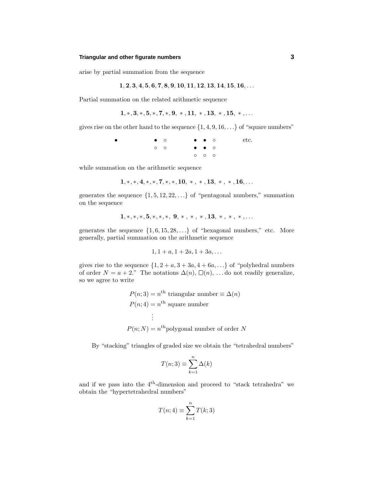#### **Triangular and other figurate numbers 3**

arise by partial summation from the sequence

$$
1, 2, 3, 4, 5, 6, 7, 8, 9, 10, 11, 12, 13, 14, 15, 16, \ldots
$$

Partial summation on the related arithmetic sequence

$$
1,*,3,*,5,*,7,*,9,*,11,*,13,*,15,*,\ldots
$$

gives rise on the other hand to the sequence  $\{1, 4, 9, 16, \ldots\}$  of "square numbers"

• •◦  $\circ$  $\circ$  $\circ$ ◦◦◦ etc.

while summation on the arithmetic sequence

$$
1,*,*,4,*,*,7,*,*,10,*,*,*,13,*,*,*,16,\ldots
$$

generates the sequence  $\{1, 5, 12, 22, \ldots\}$  of "pentagonal numbers," summation on the sequence

$$
1,*,*,*,5,*,*,*,9,*,*,*,13,*,*,*,\ldots
$$

generates the sequence  $\{1, 6, 15, 28, \ldots\}$  of "hexagonal numbers," etc. More generally, partial summation on the arithmetic sequence

$$
1, 1 + a, 1 + 2a, 1 + 3a, \ldots
$$

gives rise to the sequence  $\{1, 2 + a, 3 + 3a, 4 + 6a, ...\}$  of "polyhedral numbers of order  $N = a + 2$ ." The notations  $\Delta(n)$ ,  $\square(n)$ , ... do not readily generalize, so we agree to write

$$
P(n;3) = n^{\text{th}}
$$
 triangular number  $\equiv \Delta(n)$   

$$
P(n;4) = n^{\text{th}}
$$
 square number  
 $\vdots$   

$$
P(n;N) = n^{\text{th}}
$$
 polygonal number of order N

By "stacking" triangles of graded size we obtain the "tetrahedral numbers"

$$
T(n;3) \equiv \sum_{k=1}^{n} \Delta(k)
$$

and if we pass into the 4th-dimension and proceed to "stack tetrahedra" we obtain the "hypertetrahedral numbers"

$$
T(n; 4) \equiv \sum_{k=1}^{n} T(k; 3)
$$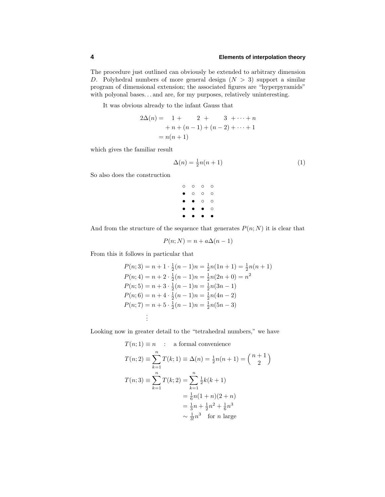The procedure just outlined can obviously be extended to arbitrary dimension *D*. Polyhedral numbers of more general design (*N >* 3) support a similar program of dimensional extension; the associated figures are "hyperpyramids" with polyonal bases...and are, for my purposes, relatively uninteresting.

It was obvious already to the infant Gauss that

$$
2\Delta(n) = 1 + 2 + 3 + \cdots + n
$$
  
+ n + (n - 1) + (n - 2) + \cdots + 1  
= n(n + 1)

which gives the familiar result

$$
\Delta(n) = \frac{1}{2}n(n+1) \tag{1}
$$

So also does the construction

◦◦◦◦  $^{\circ}$   $^{\circ}$   $^{\circ}$   $^{\circ}$  $^{\circ}$ •••• ••••

And from the structure of the sequence that generates  $P(n; N)$  it is clear that

$$
P(n;N) = n + a\Delta(n-1)
$$

From this it follows in particular that

$$
P(n; 3) = n + 1 \cdot \frac{1}{2}(n - 1)n = \frac{1}{2}n(1n + 1) = \frac{1}{2}n(n + 1)
$$
  
\n
$$
P(n; 4) = n + 2 \cdot \frac{1}{2}(n - 1)n = \frac{1}{2}n(2n + 0) = n^2
$$
  
\n
$$
P(n; 5) = n + 3 \cdot \frac{1}{2}(n - 1)n = \frac{1}{2}n(3n - 1)
$$
  
\n
$$
P(n; 6) = n + 4 \cdot \frac{1}{2}(n - 1)n = \frac{1}{2}n(4n - 2)
$$
  
\n
$$
P(n; 7) = n + 5 \cdot \frac{1}{2}(n - 1)n = \frac{1}{2}n(5n - 3)
$$
  
\n
$$
\vdots
$$

Looking now in greater detail to the "tetrahedral numbers," we have

$$
T(n; 1) \equiv n : a formal convenience
$$
  
\n
$$
T(n; 2) \equiv \sum_{k=1}^{n} T(k; 1) \equiv \Delta(n) = \frac{1}{2}n(n+1) = {n+1 \choose 2}
$$
  
\n
$$
T(n; 3) \equiv \sum_{k=1}^{n} T(k; 2) = \sum_{k=1}^{n} \frac{1}{2}k(k+1)
$$
  
\n
$$
= \frac{1}{6}n(1+n)(2+n)
$$
  
\n
$$
= \frac{1}{3}n + \frac{1}{2}n^2 + \frac{1}{6}n^3
$$
  
\n
$$
\sim \frac{1}{3}n^3 \text{ for } n \text{ large}
$$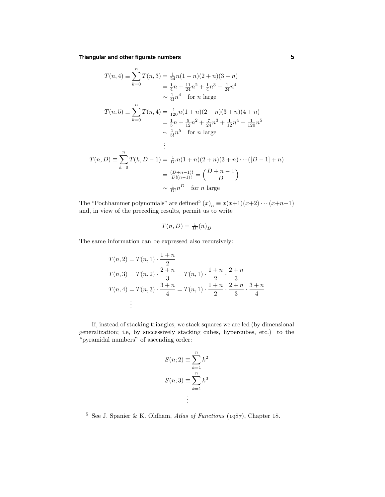**Triangular and other figurate numbers 5**

$$
T(n, 4) = \sum_{k=0}^{n} T(n, 3) = \frac{1}{24}n(1+n)(2+n)(3+n)
$$
  
\n
$$
= \frac{1}{4}n + \frac{11}{24}n^2 + \frac{1}{4}n^3 + \frac{1}{24}n^4
$$
  
\n
$$
\sim \frac{1}{4!}n^4 \quad \text{for } n \text{ large}
$$
  
\n
$$
T(n, 5) = \sum_{k=0}^{n} T(n, 4) = \frac{1}{120}n(1+n)(2+n)(3+n)(4+n)
$$
  
\n
$$
= \frac{1}{5}n + \frac{5}{12}n^2 + \frac{7}{24}n^3 + \frac{1}{12}n^4 + \frac{1}{120}n^5
$$
  
\n
$$
\sim \frac{1}{5!}n^5 \quad \text{for } n \text{ large}
$$
  
\n
$$
\vdots
$$
  
\n
$$
T(n, D) = \sum_{k=0}^{n} T(k, D - 1) = \frac{1}{D!}n(1+n)(2+n)(3+n)\cdots([D - 1] + n)
$$
  
\n
$$
= \frac{(D+n-1)!}{D!(n-1)!} = {D+n-1 \choose D}
$$
  
\n
$$
\sim \frac{1}{D!}n^D \quad \text{for } n \text{ large}
$$

The "Pochhammer polynomials" are defined<sup>5</sup>  $(x)_n \equiv x(x+1)(x+2)\cdots(x+n-1)$ and, in view of the preceding results, permit us to write

$$
T(n,D) = \frac{1}{D!}(n)_D
$$

The same information can be expressed also recursively:

$$
T(n, 2) = T(n, 1) \cdot \frac{1+n}{2}
$$
  
\n
$$
T(n, 3) = T(n, 2) \cdot \frac{2+n}{3} = T(n, 1) \cdot \frac{1+n}{2} \cdot \frac{2+n}{3}
$$
  
\n
$$
T(n, 4) = T(n, 3) \cdot \frac{3+n}{4} = T(n, 1) \cdot \frac{1+n}{2} \cdot \frac{2+n}{3} \cdot \frac{3+n}{4}
$$
  
\n
$$
\vdots
$$

If, instead of stacking triangles, we stack squares we are led (by dimensional generalization; i.e, by successively stacking cubes, hypercubes, etc.) to the "pyramidal numbers" of ascending order:

$$
S(n;2) \equiv \sum_{k=1}^{n} k^2
$$

$$
S(n;3) \equiv \sum_{k=1}^{n} k^3
$$

$$
\vdots
$$

 $\frac{5}{5}$  See J. Spanier & K. Oldham, Atlas of Functions (1987), Chapter 18.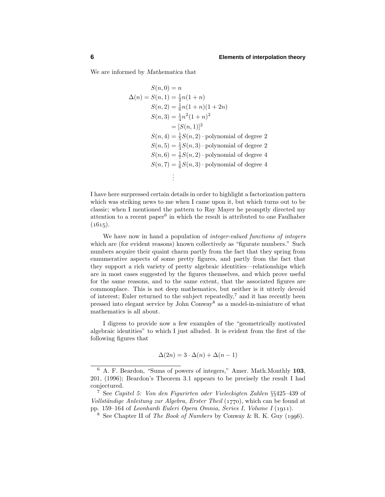We are informed by *Mathematica* that

$$
S(n, 0) = n
$$
  
\n
$$
\Delta(n) = S(n, 1) = \frac{1}{2}n(1+n)
$$
  
\n
$$
S(n, 2) = \frac{1}{6}n(1+n)(1+2n)
$$
  
\n
$$
S(n, 3) = \frac{1}{4}n^2(1+n)^2
$$
  
\n
$$
= [S(n, 1)]^2
$$
  
\n
$$
S(n, 4) = \frac{1}{5}S(n, 2) \text{ polynomial of degree 2}
$$
  
\n
$$
S(n, 5) = \frac{1}{3}S(n, 3) \text{ polynomial of degree 2}
$$
  
\n
$$
S(n, 6) = \frac{1}{7}S(n, 2) \text{ polynomial of degree 4}
$$
  
\n
$$
S(n, 7) = \frac{1}{6}S(n, 3) \text{ polynomial of degree 4}
$$
  
\n
$$
\vdots
$$

I have here surpressed certain details in order to highlight a factorization pattern which was striking news to me when I came upon it, but which turns out to be classic; when I mentioned the pattern to Ray Mayer he promptly directed my attention to a recent paper<sup>6</sup> in which the result is attributed to one Faulhaber  $(1615).$ 

We have now in hand a population of *integer-valued functions of integers* which are (for evident reasons) known collectively as "figurate numbers." Such numbers acquire their quaint charm partly from the fact that they spring from ennumerative aspects of some pretty figures, and partly from the fact that they support a rich variety of pretty algebraic identities—relationships which are in most cases suggested by the figures themselves, and which prove useful for the same reasons, and to the same extent, that the associated figures are commonplace. This is not deep mathematics, but neither is it utterly devoid of interest; Euler returned to the subject repeatedly,<sup> $7$ </sup> and it has recently been pressed into elegant service by John Conway<sup>8</sup> as a model-in-miniature of what mathematics is all about.

I digress to provide now a few examples of the "geometrically motivated algebraic identities" to which I just alluded. It is evident from the first of the following figures that

$$
\Delta(2n) = 3 \cdot \Delta(n) + \Delta(n-1)
$$

<sup>6</sup> A. F. Beardon, "Sums of powers of integers," Amer. Math.Monthly **103**, 201, (1996); Beardon's Theorem 3.1 appears to be precisely the result I had conjectured.

<sup>7</sup> See Capitel 5: Von den Figurirten oder Vieleckigten Zahlen §§425–439 of Vollständige Anleitung zur Algebra, Erster Theil (1770), which can be found at pp. 159–164 of Leonhardi Euleri Opera Omnia, Series I, Volume I (1911).

<sup>&</sup>lt;sup>8</sup> See Chapter II of *The Book of Numbers* by Conway & R. K. Guy (1996).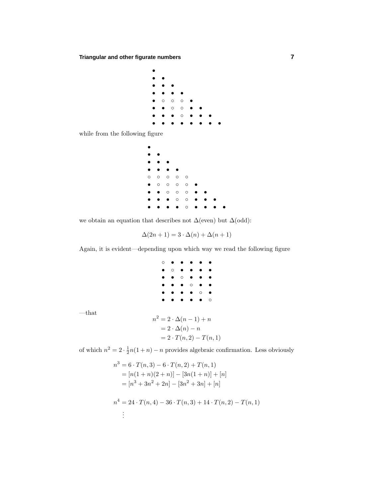**Triangular and other figurate numbers 7**



while from the following figure

—that

| $\bullet$ |           |           |         |         |           |           |   |  |
|-----------|-----------|-----------|---------|---------|-----------|-----------|---|--|
| $\bullet$ | $\bullet$ | $\bullet$ |         |         |           |           |   |  |
| $\circ$   | $\circ$   | $\circ$   | $\circ$ | $\circ$ |           |           |   |  |
| $\bullet$ | $\circ$   | $\circ$   | $\circ$ | $\circ$ |           |           |   |  |
| $\bullet$ | $\bullet$ | $\circ$   | $\circ$ | $\circ$ | ۰<br>I    | $\bullet$ |   |  |
| ٠         | $\bullet$ | $\bullet$ | $\circ$ | $\circ$ | $\bullet$ | $\bullet$ |   |  |
| $\bullet$ | $\bullet$ | $\bullet$ | ٠       | $\circ$ | $\bullet$ |           | ۰ |  |

we obtain an equation that describes not  $\Delta(\text{even})$  but  $\Delta(\text{odd})$ :

$$
\Delta(2n+1) = 3 \cdot \Delta(n) + \Delta(n+1)
$$

Again, it is evident—depending upon which way we read the following figure

|  | ∩ |         |                           |         |                               |  |
|--|---|---------|---------------------------|---------|-------------------------------|--|
|  |   | $\circ$ |                           |         |                               |  |
|  |   |         |                           |         |                               |  |
|  |   |         |                           | $\circ$ |                               |  |
|  |   |         |                           |         | O                             |  |
|  |   |         |                           |         |                               |  |
|  |   |         | $n^2=2\cdot\Delta(n-1)+n$ |         |                               |  |
|  |   |         | $= 2 \cdot \Delta(n) - n$ |         |                               |  |
|  |   |         |                           |         | $= 2 \cdot T(n, 2) - T(n, 1)$ |  |

of which  $n^2 = 2 \cdot \frac{1}{2}n(1+n) - n$  provides algebraic confirmation. Less obviously

$$
n3 = 6 \cdot T(n,3) - 6 \cdot T(n,2) + T(n,1)
$$
  
=  $[n(1+n)(2+n)] - [3n(1+n)] + [n]$   
=  $[n3 + 3n2 + 2n] - [3n2 + 3n] + [n]$   
 $n4 = 24 \cdot T(n,4) - 36 \cdot T(n,3) + 14 \cdot T(n,2) - T(n,1)$   
: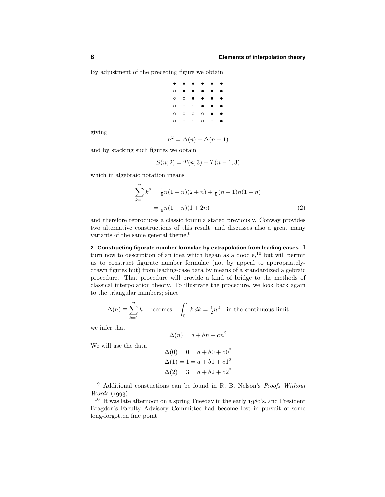By adjustment of the preceding figure we obtain

| ٠ |         | ٠       | $\bullet$ |         | ٠         |
|---|---------|---------|-----------|---------|-----------|
| O |         |         | ٠         |         |           |
| O | $\circ$ |         |           |         | $\bullet$ |
| O | $\circ$ | O       | ٠         |         | $\bullet$ |
| O | O       | O       | $\circ$   |         |           |
| О | O       | $\circ$ | O         | $\circ$ |           |

giving

$$
n^2 = \Delta(n) + \Delta(n-1)
$$

and by stacking such figures we obtain

$$
S(n; 2) = T(n; 3) + T(n - 1; 3)
$$

which in algebraic notation means

$$
\sum_{k=1}^{n} k^{2} = \frac{1}{6}n(1+n)(2+n) + \frac{1}{6}(n-1)n(1+n)
$$

$$
= \frac{1}{6}n(1+n)(1+2n)
$$
(2)

and therefore reproduces a classic formula stated previously. Conway provides two alternative constructions of this result, and discusses also a great many variants of the same general theme.<sup>9</sup>

**2. Constructing figurate number formulae by extrapolation from leading cases**. I turn now to description of an idea which began as a doodle,<sup>10</sup> but will permit us to construct figurate number formulae (not by appeal to appropriatelydrawn figures but) from leading-case data by means of a standardized algebraic procedure. That procedure will provide a kind of bridge to the methods of classical interpolation theory. To illustrate the procedure, we look back again to the triangular numbers; since

$$
\Delta(n) \equiv \sum_{k=1}^{n} k \quad \text{becomes} \quad \int_{0}^{n} k \, dk = \frac{1}{2}n^2 \quad \text{in the continuous limit}
$$

we infer that

$$
\Delta(n) = a + bn + cn^2
$$

We will use the data

$$
\Delta(0) = 0 = a + b0 + c02
$$
  
\n
$$
\Delta(1) = 1 = a + b1 + c12
$$
  
\n
$$
\Delta(2) = 3 = a + b2 + c22
$$

 $9$  Additional constuctions can be found in R. B. Nelson's *Proofs Without Words*  $(1993)$ .

 $10$  It was late afternoon on a spring Tuesday in the early 1980's, and President Bragdon's Faculty Advisory Committee had become lost in pursuit of some long-forgotten fine point.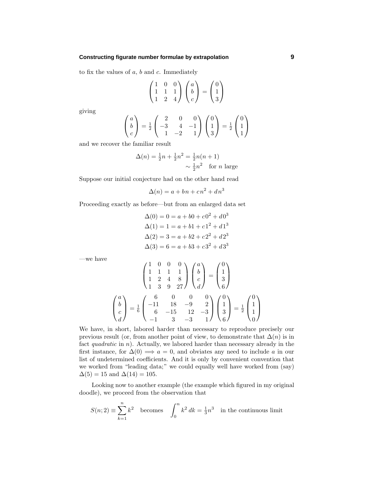#### **Constructing figurate number formulae by extrapolation 9**

to fix the values of *a*, *b* and *c*. Immediately

$$
\begin{pmatrix} 1 & 0 & 0 \ 1 & 1 & 1 \ 1 & 2 & 4 \end{pmatrix} \begin{pmatrix} a \\ b \\ c \end{pmatrix} = \begin{pmatrix} 0 \\ 1 \\ 3 \end{pmatrix}
$$

giving

$$
\begin{pmatrix} a \\ b \\ c \end{pmatrix} = \frac{1}{2} \begin{pmatrix} 2 & 0 & 0 \\ -3 & 4 & -1 \\ 1 & -2 & 1 \end{pmatrix} \begin{pmatrix} 0 \\ 1 \\ 3 \end{pmatrix} = \frac{1}{2} \begin{pmatrix} 0 \\ 1 \\ 1 \end{pmatrix}
$$

and we recover the familiar result

$$
\Delta(n) = \frac{1}{2}n + \frac{1}{2}n^2 = \frac{1}{2}n(n+1)
$$
  
  $\sim \frac{1}{2}n^2$  for *n* large

Suppose our initial conjecture had on the other hand read

$$
\Delta(n) = a + bn + cn^2 + dn^3
$$

Proceeding exactly as before—but from an enlarged data set

$$
\Delta(0) = 0 = a + b0 + c0^2 + d0^3
$$
  
\n
$$
\Delta(1) = 1 = a + b1 + c1^2 + d1^3
$$
  
\n
$$
\Delta(2) = 3 = a + b2 + c2^2 + d2^3
$$
  
\n
$$
\Delta(3) = 6 = a + b3 + c3^2 + d3^3
$$

—we have

$$
\begin{pmatrix} 1 & 0 & 0 & 0 \ 1 & 1 & 1 & 1 \ 1 & 2 & 4 & 8 \ 1 & 3 & 9 & 27 \ \end{pmatrix} \begin{pmatrix} a \\ b \\ c \\ d \end{pmatrix} = \begin{pmatrix} 0 \\ 1 \\ 3 \\ 6 \end{pmatrix}
$$

$$
\begin{pmatrix} a \\ b \\ c \\ d \end{pmatrix} = \frac{1}{6} \begin{pmatrix} 6 & 0 & 0 & 0 \ 1 & 18 & -9 & 2 \ 6 & -15 & 12 & -3 \ -1 & 3 & -3 & 1 \ \end{pmatrix} \begin{pmatrix} 0 \\ 1 \\ 3 \\ 6 \end{pmatrix} = \frac{1}{2} \begin{pmatrix} 0 \\ 1 \\ 1 \\ 0 \end{pmatrix}
$$

We have, in short, labored harder than necessary to reproduce precisely our previous result (or, from another point of view, to demonstrate that  $\Delta(n)$  is in fact *quadratic* in *n*). Actually, we labored harder than necessary already in the first instance, for  $\Delta(0) \implies a = 0$ , and obviates any need to include *a* in our list of undetermined coefficients. And it is only by convenient convention that we worked from "leading data;" we could equally well have worked from (say)  $\Delta(5) = 15$  and  $\Delta(14) = 105$ .

Looking now to another example (the example which figured in my original doodle), we proceed from the observation that

$$
S(n; 2) \equiv \sum_{k=1}^{n} k^2
$$
 becomes 
$$
\int_0^n k^2 dk = \frac{1}{3}n^3
$$
 in the continuous limit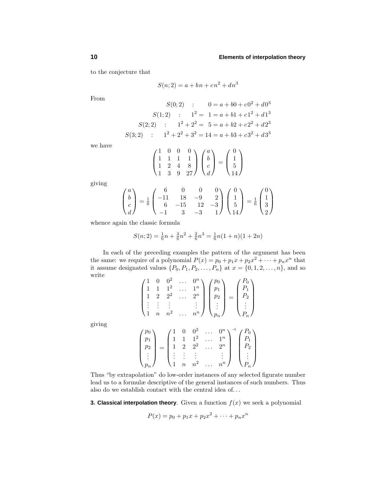to the conjecture that

$$
S(n; 2) = a + bn + cn2 + dn3
$$

From

$$
S(0;2) : 0 = a + b0 + c02 + d03
$$
  
\n
$$
S(1;2) : 12 = 1 = a + b1 + c12 + d13
$$
  
\n
$$
S(2;2) : 12 + 22 = 5 = a + b2 + c22 + d23
$$
  
\n
$$
S(3;2) : 12 + 22 + 32 = 14 = a + b3 + c32 + d33
$$

we have

$$
\begin{pmatrix} 1 & 0 & 0 & 0 \\ 1 & 1 & 1 & 1 \\ 1 & 2 & 4 & 8 \\ 1 & 3 & 9 & 27 \end{pmatrix} \begin{pmatrix} a \\ b \\ c \\ d \end{pmatrix} = \begin{pmatrix} 0 \\ 1 \\ 5 \\ 14 \end{pmatrix}
$$

giving

giving

$$
\begin{pmatrix} a \\ b \\ c \\ d \end{pmatrix} = \frac{1}{6} \begin{pmatrix} 6 & 0 & 0 & 0 \\ -11 & 18 & -9 & 2 \\ 6 & -15 & 12 & -3 \\ -1 & 3 & -3 & 1 \end{pmatrix} \begin{pmatrix} 0 \\ 1 \\ 5 \\ 14 \end{pmatrix} = \frac{1}{6} \begin{pmatrix} 0 \\ 1 \\ 3 \\ 2 \end{pmatrix}
$$

whence again the classic formula

*pn*

$$
S(n; 2) = \frac{1}{6}n + \frac{3}{6}n^2 + \frac{2}{6}n^3 = \frac{1}{6}n(1+n)(1+2n)
$$

In each of the preceding examples the pattern of the argument has been the same: we require of a polynomial  $P(x) = p_0 + p_1x + p_2x^2 + \cdots + p_nx^n$  that it assume designated values  $\{P_0, P_1, P_2, \ldots, P_n\}$  at  $x = \{0, 1, 2, \ldots, n\}$ , and so write

$$
\begin{pmatrix}\n1 & 0 & 0^2 & \dots & 0^n \\
1 & 1 & 1^2 & \dots & 1^n \\
1 & 2 & 2^2 & \dots & 2^n \\
\vdots & \vdots & \vdots & & \vdots \\
1 & n & n^2 & \dots & n^n\n\end{pmatrix}\n\begin{pmatrix}\np_0 \\
p_1 \\
p_2 \\
\vdots \\
p_n\n\end{pmatrix}\n=\n\begin{pmatrix}\nP_0 \\
P_1 \\
\vdots \\
P_n\n\end{pmatrix}
$$
\n
$$
\begin{pmatrix}\np_0 \\
p_1 \\
p_2 \\
\vdots \\
p_n\n\end{pmatrix}\n=\n\begin{pmatrix}\n1 & 0 & 0^2 & \dots & 0^n \\
1 & 1 & 1^2 & \dots & 1^n \\
1 & 2 & 2^2 & \dots & 2^n \\
\vdots & \vdots & \vdots & & \vdots \\
1 & \vdots & \vdots & & \vdots\n\end{pmatrix}\n\begin{pmatrix}\nP_0 \\
P_1 \\
P_2 \\
\vdots \\
P_n\n\end{pmatrix}
$$

Thus "by extrapolation" do low-order instances of any selected figurate number lead us to a formulæ descriptive of the general instances of such numbers. Thus also do we establish contact with the central idea of*...*

1 *n*  $n^2$  ...  $n^n$ 

*P<sup>n</sup>*

**3. Classical interpolation theory**. Given a function  $f(x)$  we seek a polynomial

$$
P(x) = p_0 + p_1 x + p_2 x^2 + \dots + p_n x^n
$$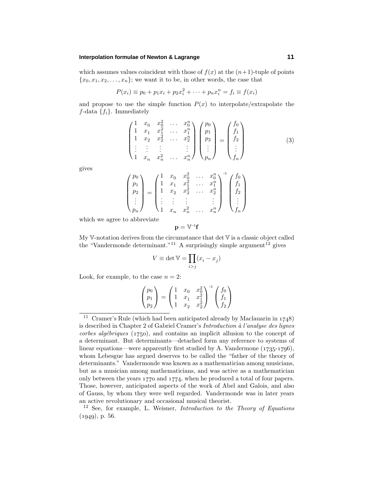# **Interpolation formulae of Newton & Lagrange 11**

which assumes values coincident with those of  $f(x)$  at the  $(n+1)$ -tuple of points  ${x_0, x_1, x_2, \ldots, x_n}$ ; we want it to be, in other words, the case that

$$
P(x_i) \equiv p_0 + p_1 x_i + p_2 x_i^2 + \dots + p_n x_i^n = f_i \equiv f(x_i)
$$

and propose to use the simple function  $P(x)$  to interpolate/extrapolate the  $f$ -data  $\{f_i\}$ . Immediately

$$
\begin{pmatrix}\n1 & x_0 & x_0^2 & \dots & x_0^n \\
1 & x_1 & x_1^2 & \dots & x_1^n \\
1 & x_2 & x_2^2 & \dots & x_2^n \\
\vdots & \vdots & \vdots & & \vdots \\
1 & x_n & x_n^2 & \dots & x_n^n\n\end{pmatrix}\n\begin{pmatrix}\np_0 \\
p_1 \\
p_2 \\
\vdots \\
p_n\n\end{pmatrix}\n=\n\begin{pmatrix}\nf_0 \\
f_1 \\
f_2 \\
\vdots \\
f_n\n\end{pmatrix}
$$
\n(3)

gives

$$
\begin{pmatrix} p_0 \\ p_1 \\ p_2 \\ \vdots \\ p_n \end{pmatrix} = \begin{pmatrix} 1 & x_0 & x_0^2 & \dots & x_0^n \\ 1 & x_1 & x_1^2 & \dots & x_1^n \\ 1 & x_2 & x_2^2 & \dots & x_2^n \\ \vdots & \vdots & \vdots & & \vdots \\ 1 & x_n & x_n^2 & \dots & x_n^n \end{pmatrix}^{-1} \begin{pmatrix} f_0 \\ f_1 \\ f_2 \\ \vdots \\ f_n \end{pmatrix}
$$

which we agree to abbreviate

 $\sqrt{ }$ 

 $\overline{\phantom{a}}$ 

$$
\mathbf{p}=\mathbb{V}^{-1}\mathbf{f}
$$

My V-notation derives from the circumstance that det V is a classic object called the "Vandermonde determinant."<sup>11</sup> A surprisingly simple argument<sup>12</sup> gives

$$
V \equiv \det \mathbb{V} = \prod_{i > j} (x_i - x_j)
$$

Look, for example, to the case  $n = 2$ :

$$
\begin{pmatrix} p_0 \\ p_1 \\ p_2 \end{pmatrix} = \begin{pmatrix} 1 & x_0 & x_0^2 \\ 1 & x_1 & x_1^2 \\ 1 & x_2 & x_2^2 \end{pmatrix}^{-1} \begin{pmatrix} f_0 \\ f_1 \\ f_2 \end{pmatrix}
$$

<sup>&</sup>lt;sup>11</sup> Cramer's Rule (which had been anticipated already by Maclauarin in  $1748$ ) is described in Chapter 2 of Gabriel Cramer's Introduction  $\dot{a}$  l'analyse des lignes  $corbes\ algebraiques$  (1750), and contains an implicit allusion to the concept of a determinant. But determinants—detached form any reference to systems of linear equations—were apparently first studied by A. Vandermone  $(1735-1796)$ , whom Lebesgue has argued deserves to be called the "father of the theory of determinants." Vandermonde was known as a mathematician among musicians, but as a musician among mathematicians, and was active as a mathematician only between the years  $1770$  and  $1774$ , when he produced a total of four papers. Those, however, anticipated aspects of the work of Abel and Galois, and also of Gauss, by whom they were well regarded. Vandermonde was in later years an active revolutionary and occasional musical theorist.

 $12$  See, for example, L. Weisner, *Introduction to the Theory of Equations*  $(1949)$ , p. 56.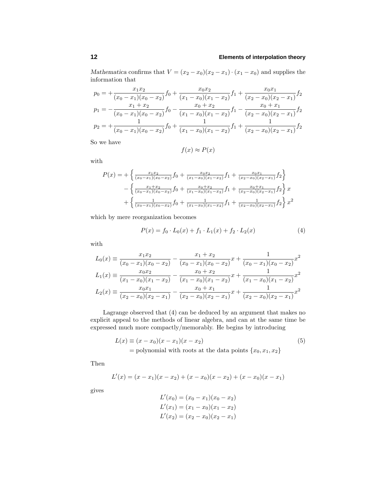# **12 Elements of interpolation theory**

*Mathematica* confirms that  $V = (x_2 - x_0)(x_2 - x_1) \cdot (x_1 - x_0)$  and supplies the information that

$$
p_0 = +\frac{x_1x_2}{(x_0 - x_1)(x_0 - x_2)} f_0 + \frac{x_0x_2}{(x_1 - x_0)(x_1 - x_2)} f_1 + \frac{x_0x_1}{(x_2 - x_0)(x_2 - x_1)} f_2
$$
  
\n
$$
p_1 = -\frac{x_1 + x_2}{(x_0 - x_1)(x_0 - x_2)} f_0 - \frac{x_0 + x_2}{(x_1 - x_0)(x_1 - x_2)} f_1 - \frac{x_0 + x_1}{(x_2 - x_0)(x_2 - x_1)} f_2
$$
  
\n
$$
p_2 = +\frac{1}{(x_0 - x_1)(x_0 - x_2)} f_0 + \frac{1}{(x_1 - x_0)(x_1 - x_2)} f_1 + \frac{1}{(x_2 - x_0)(x_2 - x_1)} f_2
$$

So we have

$$
f(x) \approx P(x)
$$

with

$$
P(x) = +\left\{ \frac{x_1 x_2}{(x_0 - x_1)(x_0 - x_2)} f_0 + \frac{x_0 x_2}{(x_1 - x_0)(x_1 - x_2)} f_1 + \frac{x_0 x_1}{(x_2 - x_0)(x_2 - x_1)} f_2 \right\}
$$

$$
- \left\{ \frac{x_1 + x_2}{(x_0 - x_1)(x_0 - x_2)} f_0 + \frac{x_0 + x_2}{(x_1 - x_0)(x_1 - x_2)} f_1 + \frac{x_0 + x_1}{(x_2 - x_0)(x_2 - x_1)} f_2 \right\} x + \left\{ \frac{1}{(x_0 - x_1)(x_0 - x_2)} f_0 + \frac{1}{(x_1 - x_0)(x_1 - x_2)} f_1 + \frac{1}{(x_2 - x_0)(x_2 - x_1)} f_2 \right\} x^2
$$

which by mere reorganization becomes

$$
P(x) = f_0 \cdot L_0(x) + f_1 \cdot L_1(x) + f_2 \cdot L_2(x) \tag{4}
$$

with

$$
L_0(x) = \frac{x_1 x_2}{(x_0 - x_1)(x_0 - x_2)} - \frac{x_1 + x_2}{(x_0 - x_1)(x_0 - x_2)}x + \frac{1}{(x_0 - x_1)(x_0 - x_2)}x^2
$$
  
\n
$$
L_1(x) = \frac{x_0 x_2}{(x_1 - x_0)(x_1 - x_2)} - \frac{x_0 + x_2}{(x_1 - x_0)(x_1 - x_2)}x + \frac{1}{(x_1 - x_0)(x_1 - x_2)}x^2
$$
  
\n
$$
L_2(x) = \frac{x_0 x_1}{(x_2 - x_0)(x_2 - x_1)} - \frac{x_0 + x_1}{(x_2 - x_0)(x_2 - x_1)}x + \frac{1}{(x_2 - x_0)(x_2 - x_1)}x^2
$$

Lagrange observed that (4) can be deduced by an argument that makes no explicit appeal to the methods of linear algebra, and can at the same time be expressed much more compactly/memorably. He begins by introducing

$$
L(x) \equiv (x - x_0)(x - x_1)(x - x_2)
$$
  
= polynomial with roots at the data points {x<sub>0</sub>, x<sub>1</sub>, x<sub>2</sub>} (5)

Then

$$
L'(x) = (x - x_1)(x - x_2) + (x - x_0)(x - x_2) + (x - x_0)(x - x_1)
$$

gives

$$
L'(x_0) = (x_0 - x_1)(x_0 - x_2)
$$
  
\n
$$
L'(x_1) = (x_1 - x_0)(x_1 - x_2)
$$
  
\n
$$
L'(x_2) = (x_2 - x_0)(x_2 - x_1)
$$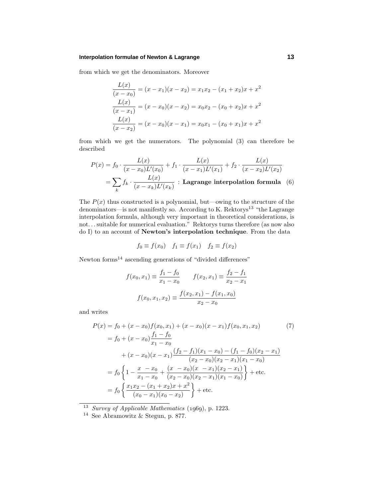## **Interpolation formulae of Newton & Lagrange 13**

from which we get the denominators. Moreover

$$
\frac{L(x)}{(x-x_0)} = (x-x_1)(x-x_2) = x_1x_2 - (x_1+x_2)x + x^2
$$

$$
\frac{L(x)}{(x-x_1)} = (x-x_0)(x-x_2) = x_0x_2 - (x_0+x_2)x + x^2
$$

$$
\frac{L(x)}{(x-x_2)} = (x-x_0)(x-x_1) = x_0x_1 - (x_0+x_1)x + x^2
$$

from which we get the numerators. The polynomial (3) can therefore be described

$$
P(x) = f_0 \cdot \frac{L(x)}{(x - x_0)L'(x_0)} + f_1 \cdot \frac{L(x)}{(x - x_1)L'(x_1)} + f_2 \cdot \frac{L(x)}{(x - x_2)L'(x_2)}
$$

$$
= \sum_k f_k \cdot \frac{L(x)}{(x - x_k)L'(x_k)} : \text{Lagrange interpolation formula} \quad (6)
$$

The  $P(x)$  thus constructed is a polynomial, but—owing to the structure of the denominators—is not manifestly so. According to K. Rektorys<sup>13</sup> "the Lagrange" interpolation formula, although very important in theoretical considerations, is not*...*suitable for numerical evaluation." Rektorys turns therefore (as now also do I) to an account of **Newton's interpolation technique**. From the data

$$
f_0 \equiv f(x_0) \quad f_1 \equiv f(x_1) \quad f_2 \equiv f(x_2)
$$

Newton forms<sup>14</sup> ascending generations of "divided differences"

$$
f(x_0, x_1) \equiv \frac{f_1 - f_0}{x_1 - x_0} \qquad f(x_2, x_1) \equiv \frac{f_2 - f_1}{x_2 - x_1}
$$

$$
f(x_0, x_1, x_2) \equiv \frac{f(x_2, x_1) - f(x_1, x_0)}{x_2 - x_0}
$$

and writes

$$
P(x) = f_0 + (x - x_0)f(x_0, x_1) + (x - x_0)(x - x_1)f(x_0, x_1, x_2)
$$
(7)  
=  $f_0 + (x - x_0) \frac{f_1 - f_0}{x_1 - x_0}$   
+  $(x - x_0)(x - x_1) \frac{(f_2 - f_1)(x_1 - x_0) - (f_1 - f_0)(x_2 - x_1)}{(x_2 - x_0)(x_2 - x_1)(x_1 - x_0)}$   
=  $f_0 \left\{ 1 - \frac{x - x_0}{x_1 - x_0} + \frac{(x - x_0)(x - x_1)(x_2 - x_1)}{(x_2 - x_0)(x_2 - x_1)(x_1 - x_0)} \right\}$  + etc.  
=  $f_0 \left\{ \frac{x_1 x_2 - (x_1 + x_2)x + x^2}{(x_0 - x_1)(x_0 - x_2)} \right\}$  + etc.

 $13$  Survey of Applicable Mathematics (1969), p. 1223.

<sup>&</sup>lt;sup>14</sup> See Abramowitz & Stegun, p. 877.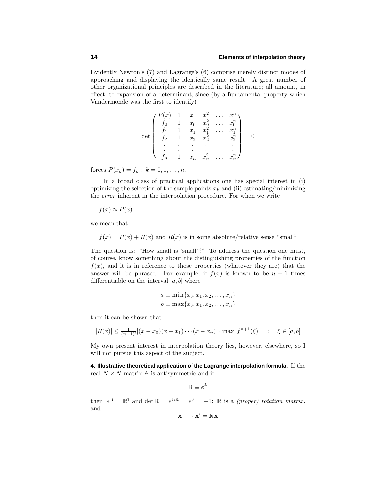Evidently Newton's (7) and Lagrange's (6) comprise merely distinct modes of approaching and displaying the identically same result. A great number of other organizational principles are described in the literature; all amount, in effect, to expansion of a determinant, since (by a fundamental property which Vandermonde was the first to identify)

$$
\det \begin{pmatrix} P(x) & 1 & x & x^2 & \dots & x^n \\ f_0 & 1 & x_0 & x_0^2 & \dots & x_0^n \\ f_1 & 1 & x_1 & x_1^2 & \dots & x_1^n \\ f_2 & 1 & x_2 & x_2^2 & \dots & x_2^n \\ \vdots & \vdots & \vdots & \vdots & \vdots & \vdots \\ f_n & 1 & x_n & x_n^2 & \dots & x_n^n \end{pmatrix} = 0
$$

forces  $P(x_k) = f_k : k = 0, 1, ..., n$ .

In a broad class of practical applications one has special interest in (i) optimizing the selection of the sample points  $x_k$  and (ii) estimating/minimizing the error inherent in the interpolation procedure. For when we write

$$
f(x) \approx P(x)
$$

we mean that

 $f(x) = P(x) + R(x)$  and  $R(x)$  is in some absolute/relative sense "small"

The question is: "How small is 'small'?" To address the question one must, of course, know something about the distinguishing properties of the function  $f(x)$ , and it is in reference to those properties (whatever they are) that the answer will be phrased. For example, if  $f(x)$  is known to be  $n + 1$  times differentiable on the interval [*a, b*] where

$$
a \equiv \min\{x_0, x_1, x_2, \dots, x_n\}
$$
  

$$
b \equiv \max\{x_0, x_1, x_2, \dots, x_n\}
$$

then it can be shown that

$$
|R(x)| \le \frac{1}{(n+1)!} |(x-x_0)(x-x_1)\cdots(x-x_n)| \cdot \max |f^{n+1}(\xi)| \qquad ; \quad \xi \in [a,b]
$$

My own present interest in interpolation theory lies, however, elsewhere, so I will not pursue this aspect of the subject.

**4. Illustrative theoretical application of the Lagrange interpolation formula**. If the real  $N \times N$  matrix  $A$  is antisymmetric and if

 $\mathbb{R} \equiv e^{\mathbb{A}}$ 

then  $\mathbb{R}^{-1} = \mathbb{R}^{T}$  and  $\det \mathbb{R} = e^{trA} = e^{0} = +1$ :  $\mathbb{R}$  is a *(proper) rotation matrix*, and

$$
\mathbf{x} \longrightarrow \mathbf{x}' = \mathbb{R} \mathbf{x}
$$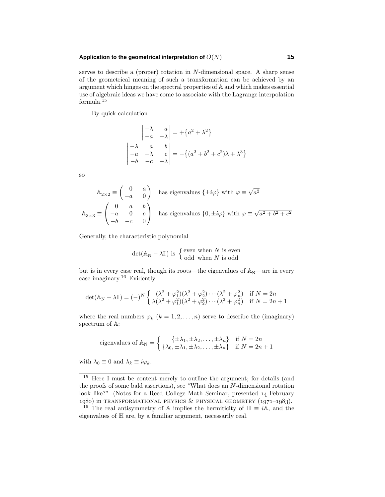## **Application to the geometrical interpretation of** *O*(*N*) **15**

l.

serves to describe a (proper) rotation in *N*-dimensional space. A sharp sense of the geometrical meaning of such a transformation can be achieved by an argument which hinges on the spectral properties of A and which makes essential use of algebraic ideas we have come to associate with the Lagrange interpolation formula.<sup>15</sup>

By quick calculation

$$
\begin{vmatrix} -\lambda & a \\ -a & -\lambda \end{vmatrix} = +\{a^2 + \lambda^2\}
$$
  

$$
\begin{vmatrix} -\lambda & a & b \\ -a & -\lambda & c \\ -b & -c & -\lambda \end{vmatrix} = -\{(a^2 + b^2 + c^2)\lambda + \lambda^3\}
$$

so

$$
A_{2\times 2} \equiv \begin{pmatrix} 0 & a \\ -a & 0 \end{pmatrix}
$$
 has eigenvalues  $\{\pm i\varphi\}$  with  $\varphi \equiv \sqrt{a^2}$   

$$
A_{3\times 3} \equiv \begin{pmatrix} 0 & a & b \\ -a & 0 & c \\ -b & -c & 0 \end{pmatrix}
$$
 has eigenvalues  $\{0, \pm i\varphi\}$  with  $\varphi \equiv \sqrt{a^2 + b^2 + c^2}$ 

Generally, the characteristic polynomial

$$
\det(\mathbb{A}_{N} - \lambda \mathbb{I})
$$
 is  $\begin{cases} \text{even when } N \text{ is even} \\ \text{odd when } N \text{ is odd} \end{cases}$ 

but is in every case real, though its roots—the eigenvalues of  $\mathbb{A}_N$ —are in every case imaginary.<sup>16</sup> Evidently

$$
\det(\mathbb{A}_{N} - \lambda \mathbb{I}) = (-)^{N} \begin{cases} (\lambda^{2} + \varphi_{1}^{2})(\lambda^{2} + \varphi_{2}^{2}) \cdots (\lambda^{2} + \varphi_{n}^{2}) & \text{if } N = 2n \\ \lambda(\lambda^{2} + \varphi_{1}^{2})(\lambda^{2} + \varphi_{2}^{2}) \cdots (\lambda^{2} + \varphi_{n}^{2}) & \text{if } N = 2n + 1 \end{cases}
$$

where the real numbers  $\varphi_k$  ( $k = 1, 2, ..., n$ ) serve to describe the (imaginary) spectrum of A:

eigenvalues of 
$$
\mathbb{A}_N = \begin{cases} {\{\pm \lambda_1, \pm \lambda_2, \ldots, \pm \lambda_n\}} & \text{if } N = 2n \\ {\{\lambda_0, \pm \lambda_1, \pm \lambda_2, \ldots, \pm \lambda_n\}} & \text{if } N = 2n + 1 \end{cases}
$$

with  $\lambda_0 \equiv 0$  and  $\lambda_k \equiv i\varphi_k$ .

<sup>&</sup>lt;sup>15</sup> Here I must be content merely to outline the argument; for details (and the proofs of some bald assertions), see "What does an *N*-dimensional rotation look like?" (Notes for a Reed College Math Seminar, presented 14 February 1980) in TRANSFORMATIONAL PHYSICS & PHYSICAL GEOMETRY  $(1971-1983)$ .

<sup>&</sup>lt;sup>16</sup> The real antisymmetry of A implies the hermiticity of  $\mathbb{H} \equiv i\mathbb{A}$ , and the eigenvalues of H are, by a familiar argument, necessarily real.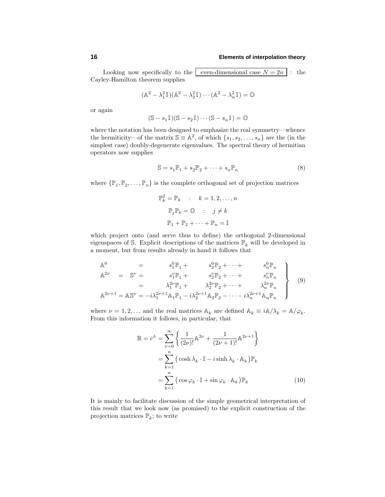Looking now specifically to the even-dimensional case  $N = 2n$ : the Cayley-Hamilton theorem supplies

$$
(\mathbb{A}^2 - \lambda_1^2 \mathbb{I})(\mathbb{A}^2 - \lambda_2^2 \mathbb{I}) \cdots (\mathbb{A}^2 - \lambda_n^2 \mathbb{I}) = \mathbb{O}
$$

or again

$$
(\mathbb{S}-s_1\mathbb{I})(\mathbb{S}-s_2\mathbb{I})\cdots (\mathbb{S}-s_n\mathbb{I})=\mathbb{O}
$$

where the notation has been designed to emphasize the real symmetry—whence the hermiticity—of the matrix  $\mathbb{S} \equiv \mathbb{A}^2$ , of which  $\{s_1, s_2, \ldots, s_n\}$  are the (in the simplest case) doubly-degenerate eigenvalues. The spectral theory of hermitian operators now supplies

$$
\mathbb{S} = s_1 \mathbb{P}_1 + s_2 \mathbb{P}_2 + \dots + s_n \mathbb{P}_n \tag{8}
$$

where  $\{\mathbb{P}_1, \mathbb{P}_2, \ldots, \mathbb{P}_n\}$  is the complete orthogonal set of projection matrices

$$
\mathbb{P}_k^2 = \mathbb{P}_k \quad : \quad k = 1, 2, \dots, n
$$

$$
\mathbb{P}_j \mathbb{P}_k = \mathbb{O} \quad : \quad j \neq k
$$

$$
\mathbb{P}_1 + \mathbb{P}_2 + \dots + \mathbb{P}_n = \mathbb{I}
$$

which project onto (and serve thus to define) the orthogonal 2-dimensional eigenspaces of S. Explicit descriptions of the matrices  $\mathbb{P}_k$  will be developed in a moment, but from results already in hand it follows that

$$
\begin{array}{rcl}\n\mathbb{A}^{0} & = & s_{1}^{0} \mathbb{P}_{1} + & s_{2}^{0} \mathbb{P}_{2} + \cdots + & s_{n}^{0} \mathbb{P}_{n} \\
\mathbb{A}^{2\nu} & = & \mathbb{S}^{\nu} = & s_{1}^{\nu} \mathbb{P}_{1} + & s_{2}^{\nu} \mathbb{P}_{2} + \cdots + & s_{n}^{\nu} \mathbb{P}_{n} \\
& = & \lambda_{1}^{2\nu} \mathbb{P}_{1} + & \lambda_{2}^{2\nu} \mathbb{P}_{2} + \cdots + & \lambda_{n}^{2\nu} \mathbb{P}_{n} \\
\mathbb{A}^{2\nu+1} & = & \mathbb{A} \mathbb{S}^{\nu} = -i \lambda_{1}^{2\nu+1} \mathbb{A}_{1} \mathbb{P}_{1} - i \lambda_{2}^{2\nu+1} \mathbb{A}_{2} \mathbb{P}_{2} - \cdots - i \lambda_{n}^{2\nu+1} \mathbb{A}_{n} \mathbb{P}_{n}\n\end{array}\n\right\}\n\tag{9}
$$

where  $\nu = 1, 2, \ldots$  and the real matrices  $\mathbb{A}_k$  are defined  $\mathbb{A}_k \equiv i\mathbb{A}/\lambda_k = \mathbb{A}/\varphi_k$ . From this information it follows, in particular, that

$$
\mathbb{R} = e^{\mathbb{A}} = \sum_{\nu=0}^{\infty} \left\{ \frac{1}{(2\nu)!} \mathbb{A}^{2\nu} + \frac{1}{(2\nu+1)!} \mathbb{A}^{2\nu+1} \right\}
$$

$$
= \sum_{k=1}^{n} \left( \cosh \lambda_k \cdot \mathbb{I} - i \sinh \lambda_k \cdot \mathbb{A}_k \right) \mathbb{P}_k
$$

$$
= \sum_{k=1}^{n} \left( \cos \varphi_k \cdot \mathbb{I} + \sin \varphi_k \cdot \mathbb{A}_k \right) \mathbb{P}_k
$$
(10)

It is mainly to facilitate discussion of the simple geometrical interpretation of this result that we look now (as promised) to the explicit construction of the projection matrices  $\mathbb{P}_k$ ; to write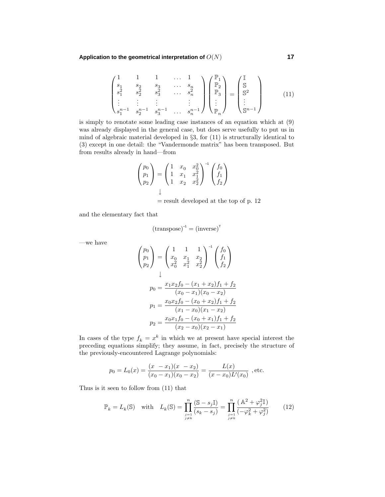#### **Application to the geometrical interpretation of** *O*(*N*) **17**

$$
\begin{pmatrix}\n1 & 1 & 1 & \dots & 1 \\
s_1 & s_2 & s_3 & \dots & s_n \\
s_1^2 & s_2^2 & s_3^2 & \dots & s_n^2 \\
\vdots & \vdots & \vdots & & \vdots \\
s_1^{n-1} & s_2^{n-1} & s_3^{n-1} & \dots & s_n^{n-1}\n\end{pmatrix}\n\begin{pmatrix}\n\mathbb{P}_1 \\
\mathbb{P}_2 \\
\mathbb{P}_3 \\
\vdots \\
\mathbb{P}_n\n\end{pmatrix} =\n\begin{pmatrix}\n\mathbb{I} \\
\mathbb{S} \\
\mathbb{S}^2 \\
\vdots \\
\mathbb{S}^{n-1}\n\end{pmatrix}
$$
\n(11)

is simply to renotate some leading case instances of an equation which at (9) was already displayed in the general case, but does serve usefully to put us in mind of algebraic material developed in §3, for (11) is structurally identical to (3) except in one detail: the "Vandermonde matrix" has been transposed. But from results already in hand—from

$$
\begin{pmatrix} p_0 \\ p_1 \\ p_2 \end{pmatrix} = \begin{pmatrix} 1 & x_0 & x_0^2 \\ 1 & x_1 & x_1^2 \\ 1 & x_2 & x_2^2 \end{pmatrix}^{-1} \begin{pmatrix} f_0 \\ f_1 \\ f_2 \end{pmatrix}
$$

 $=$  result developed at the top of p. 12

and the elementary fact that

$$
(\text{transpose})^{-1} = (\text{inverse})^T
$$

—we have

$$
\begin{pmatrix}\np_0 \\
p_1 \\
p_2\n\end{pmatrix} = \begin{pmatrix}\n1 & 1 & 1 \\
x_0 & x_1 & x_2 \\
x_0^2 & x_1^2 & x_2^2\n\end{pmatrix}^{-1} \begin{pmatrix}\nf_0 \\
f_1 \\
f_2\n\end{pmatrix}
$$
\n
$$
p_0 = \frac{x_1 x_2 f_0 - (x_1 + x_2) f_1 + f_2}{(x_0 - x_1)(x_0 - x_2)}
$$
\n
$$
p_1 = \frac{x_0 x_2 f_0 - (x_0 + x_2) f_1 + f_2}{(x_1 - x_0)(x_1 - x_2)}
$$
\n
$$
p_2 = \frac{x_0 x_1 f_0 - (x_0 + x_1) f_1 + f_2}{(x_2 - x_0)(x_2 - x_1)}
$$

In cases of the type  $f_k = x^k$  in which we at present have special interest the preceding equations simplify; they assume, in fact, precisely the structure of the previously-encountered Lagrange polynomials:

$$
p_0 = L_0(x) = \frac{(x - x_1)(x - x_2)}{(x_0 - x_1)(x_0 - x_2)} = \frac{L(x)}{(x - x_0)L'(x_0)}
$$
, etc.

Thus is it seen to follow from (11) that

$$
\mathbb{P}_k = L_k(\mathbb{S}) \quad \text{with} \quad L_k(\mathbb{S}) = \prod_{\substack{j=1 \ j \neq k}}^n \frac{(\mathbb{S} - s_j \mathbb{I})}{(s_k - s_j)} = \prod_{\substack{j=1 \ j \neq k}}^n \frac{(\mathbb{A}^2 + \varphi_j^2 \mathbb{I})}{(-\varphi_k^2 + \varphi_j^2)}
$$
(12)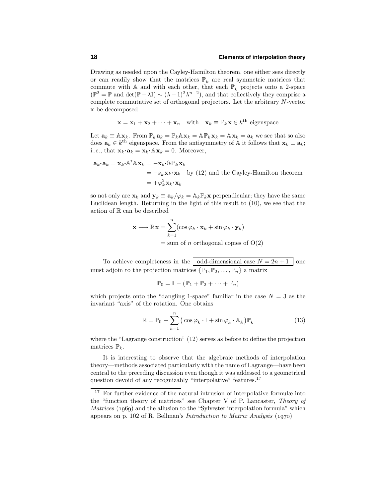# **18 Elements of interpolation theory**

Drawing as needed upon the Cayley-Hamilton theorem, one either sees directly or can readily show that the matrices  $\mathbb{P}_k$  are real symmetric matrices that commute with A and with each other, that each  $\mathbb{P}_k$  projects onto a 2-space  $(\mathbb{P}^2 = \mathbb{P}$  and det $(\mathbb{P} - \lambda \mathbb{I}) \sim (\lambda - 1)^2 \lambda^{n-2}$ , and that collectively they comprise a complete commutative set of orthogonal projectors. Let the arbitrary *N*-vector **x** be decomposed

$$
\mathbf{x} = \mathbf{x}_1 + \mathbf{x}_2 + \dots + \mathbf{x}_n \quad \text{with} \quad \mathbf{x}_k \equiv \mathbb{P}_k \mathbf{x} \in k^{\text{th}} \text{ eigenspace}
$$

Let  $\mathbf{a}_k \equiv \mathbb{A} \mathbf{x}_k$ . From  $\mathbb{P}_k \mathbf{a}_k = \mathbb{P}_k \mathbb{A} \mathbf{x}_k = \mathbb{A} \mathbb{P}_k \mathbf{x}_k = \mathbb{A} \mathbf{x}_k = \mathbf{a}_k$  we see that so also does  $\mathbf{a}_k \in k^{\text{th}}$  eigenspace. From the antisymmetry of A it follows that  $\mathbf{x}_k \perp \mathbf{a}_k$ ; i..e., that  $\mathbf{x}_k \cdot \mathbf{a}_k = \mathbf{x}_k \cdot \mathbb{A} \mathbf{x}_k = 0$ . Moreover,

$$
\mathbf{a}_{k} \cdot \mathbf{a}_{k} = \mathbf{x}_{k} \cdot \mathbb{A}^{\mathsf{T}} \mathbb{A} \mathbf{x}_{k} = -\mathbf{x}_{k} \cdot \mathbb{S} \mathbb{P}_{k} \mathbf{x}_{k}
$$
  
=  $-s_{k} \mathbf{x}_{k} \cdot \mathbf{x}_{k}$  by (12) and the Cayley-Hamilton theorem  
=  $+\varphi_{k}^{2} \mathbf{x}_{k} \cdot \mathbf{x}_{k}$ 

so not only are  $\mathbf{x}_k$  and  $\mathbf{y}_k \equiv \mathbf{a}_k / \varphi_k = \mathbb{A}_k \mathbb{P}_k \mathbf{x}$  perpendicular; they have the same Euclidean length. Returning in the light of this result to (10), we see that the action of R can be described

$$
\mathbf{x} \longrightarrow \mathbb{R}\mathbf{x} = \sum_{k=1}^{n} (\cos \varphi_k \cdot \mathbf{x}_k + \sin \varphi_k \cdot \mathbf{y}_k)
$$
  
= sum of *n* orthogonal copies of O(2)

To achieve completeness in the odd-dimensional case  $N = 2n + 1$  one must adjoin to the projection matrices  $\{\mathbb{P}_1, \mathbb{P}_2, \ldots, \mathbb{P}_n\}$  a matrix

$$
\mathbb{P}_0 = \mathbb{I} - (\mathbb{P}_1 + \mathbb{P}_2 + \cdots + \mathbb{P}_n)
$$

which projects onto the "dangling 1-space" familiar in the case  $N = 3$  as the invariant "axis" of the rotation. One obtains

$$
\mathbb{R} = \mathbb{P}_0 + \sum_{k=1}^{n} (\cos \varphi_k \cdot \mathbb{I} + \sin \varphi_k \cdot \mathbb{A}_k) \mathbb{P}_k
$$
 (13)

where the "Lagrange construction" (12) serves as before to define the projection matrices  $\mathbb{P}_k$ .

It is interesting to observe that the algebraic methods of interpolation theory—methods associated particularly with the name of Lagrange—have been central to the preceding discussion even though it was addessed to a geometrical question devoid of any recognizably "interpolative" features.<sup>17</sup>

<sup>&</sup>lt;sup>17</sup> For further evidence of the natural intrusion of interpolative formulæ into the "function theory of matrices" see Chapter V of P. Lancaster, Theory of *Matrices* (1969) and the allusion to the "Sylvester interpolation formula" which appears on p. 102 of R. Bellman's Introduction to Matrix Analysis (1970)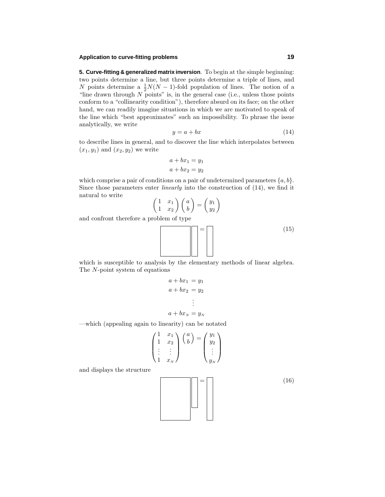# **Application to curve-fitting problems 19**

**5. Curve-fitting & generalized matrix inversion**. To begin at the simple beginning: two points determine a line, but three points determine a triple of lines, and *N* points determine a  $\frac{1}{2}N(N-1)$ -fold population of lines. The notion of a "line drawn through *N* points" is, in the general case (i.e., unless those points conform to a "collinearity condition"), therefore absurd on its face; on the other hand, we can readily imagine situations in which we are motivated to speak of the line which "best approximates" such an impossibility. To phrase the issue analytically, we write

$$
y = a + bx \tag{14}
$$

to describe lines in general, and to discover the line which interpolates between  $(x_1, y_1)$  and  $(x_2, y_2)$  we write

$$
a + bx_1 = y_1
$$

$$
a + bx_2 = y_2
$$

which comprise a pair of conditions on a pair of undetermined parameters  ${a, b}$ . Since those parameters enter *linearly* into the construction of  $(14)$ , we find it natural to write *y*<sup>1</sup>

$$
\begin{pmatrix} 1 & x_1 \\ 1 & x_2 \end{pmatrix} \begin{pmatrix} a \\ b \end{pmatrix} = \begin{pmatrix} y_1 \\ y_2 \end{pmatrix}
$$

and confront therefore a problem of type

$$
\boxed{\mathbf{r} = \begin{bmatrix} 15 \end{bmatrix} \tag{15}
$$

which is susceptible to analysis by the elementary methods of linear algebra. The *N*-point system of equations

$$
a + bx_1 = y_1
$$
  
\n
$$
a + bx_2 = y_2
$$
  
\n
$$
\vdots
$$
  
\n
$$
a + bx_N = y_N
$$

—which (appealing again to linearity) can be notated

$$
\begin{pmatrix} 1 & x_1 \\ 1 & x_2 \\ \vdots & \vdots \\ 1 & x_N \end{pmatrix} \begin{pmatrix} a \\ b \end{pmatrix} = \begin{pmatrix} y_1 \\ y_2 \\ \vdots \\ y_N \end{pmatrix}
$$

and displays the structure

 $(16)$ 

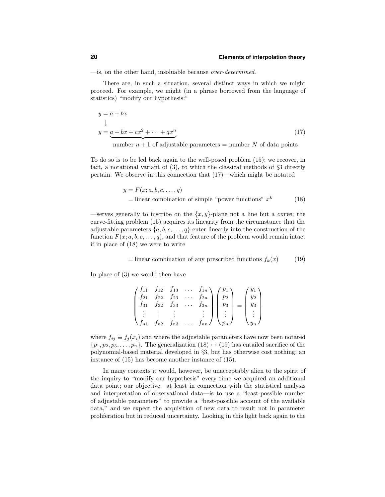—is, on the other hand, insoluable because over-determined.

There are, in such a situation, several distinct ways in which we might proceed. For example, we might (in a phrase borrowed from the language of statistics) "modify our hypothesis:"

$$
y = a + bx
$$
  
\n
$$
\downarrow
$$
  
\ny = a + bx + cx<sup>2</sup> + \dots + qx<sup>n</sup> (17)  
\nnumber n + 1 of adjustable parameters = number N of data points

To do so is to be led back again to the well-posed problem (15); we recover, in fact, a notational variant of (3), to which the classical methods of §3 directly pertain. We observe in this connection that (17)—which might be notated

$$
y = F(x; a, b, c, ..., q)
$$
  
= linear combination of simple "power functions"  $x^k$  (18)

—serves generally to inscribe on the  $\{x, y\}$ -plane not a line but a *curve*; the curve-fitting problem (15) acquires its linearity from the circumstance that the adjustable parameters  $\{a, b, c, \ldots, q\}$  enter linearly into the construction of the function  $F(x; a, b, c, \ldots, q)$ , and that feature of the problem would remain intact if in place of (18) we were to write

= linear combination of any prescribed functions 
$$
f_k(x)
$$
 (19)

In place of (3) we would then have

$$
\begin{pmatrix}\nf_{11} & f_{12} & f_{13} & \dots & f_{1n} \\
f_{21} & f_{22} & f_{23} & \dots & f_{2n} \\
f_{31} & f_{32} & f_{33} & \dots & f_{3n} \\
\vdots & \vdots & \vdots & & \vdots \\
f_{n1} & f_{n2} & f_{n3} & \dots & f_{nn}\n\end{pmatrix}\n\begin{pmatrix}\np_1 \\
p_2 \\
p_3 \\
\vdots \\
p_n\n\end{pmatrix}\n=\n\begin{pmatrix}\ny_1 \\
y_2 \\
y_3 \\
\vdots \\
y_n\n\end{pmatrix}
$$

where  $f_{ij} \equiv f_j(x_i)$  and where the adjustable parameters have now been notated  $\{p_1, p_2, p_3, \ldots, p_n\}$ . The generalization  $(18) \mapsto (19)$  has entailed sacrifice of the polynomial-based material developed in §3, but has otherwise cost nothing; an instance of (15) has become another instance of (15).

In many contexts it would, however, be unacceptably alien to the spirit of the inquiry to "modify our hypothesis" every time we acquired an additional data point; our objective—at least in connection with the statistical analysis and interpretation of observational data—is to use a "least-possible number of adjustable parameters" to provide a "best-possible account of the available data," and we expect the acquisition of new data to result not in parameter proliferation but in reduced uncertainty. Looking in this light back again to the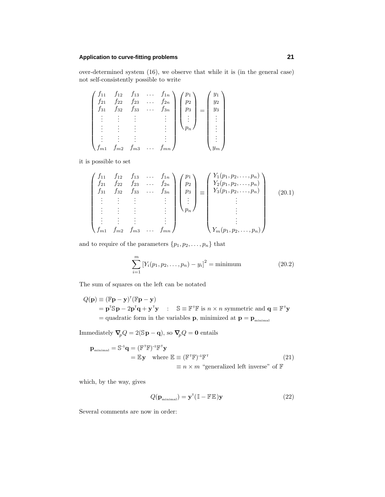# **Application to curve-fitting problems 21**

over-determined system (16), we observe that while it is (in the general case) not self-consistently possible to write

$$
\begin{pmatrix}\nf_{11} & f_{12} & f_{13} & \dots & f_{1n} \\
f_{21} & f_{22} & f_{23} & \dots & f_{2n} \\
f_{31} & f_{32} & f_{33} & \dots & f_{3n} \\
\vdots & \vdots & \vdots & & \vdots \\
\vdots & \vdots & \vdots & & \vdots \\
\vdots & \vdots & \vdots & & \vdots \\
f_{m1} & f_{m2} & f_{m3} & \dots & f_{mn}\n\end{pmatrix}\n\begin{pmatrix}\np_1 \\
p_2 \\
p_3 \\
\vdots \\
p_n\n\end{pmatrix}\n=\n\begin{pmatrix}\ny_1 \\
y_2 \\
y_3 \\
\vdots \\
y_m\n\end{pmatrix}
$$

it is possible to set

$$
\begin{pmatrix}\nf_{11} & f_{12} & f_{13} & \dots & f_{1n} \\
f_{21} & f_{22} & f_{23} & \dots & f_{2n} \\
f_{31} & f_{32} & f_{33} & \dots & f_{3n} \\
\vdots & \vdots & \vdots & & \vdots \\
\vdots & \vdots & \vdots & & \vdots \\
f_{m1} & f_{m2} & f_{m3} & \dots & f_{mn}\n\end{pmatrix}\n\begin{pmatrix}\np_1 \\
p_2 \\
p_3 \\
\vdots \\
p_n\n\end{pmatrix}\n\equiv\n\begin{pmatrix}\nY_1(p_1, p_2, \dots, p_n) \\
Y_2(p_1, p_2, \dots, p_n) \\
Y_3(p_1, p_2, \dots, p_n) \\
\vdots \\
Y_m(p_1, p_2, \dots, p_n)\n\end{pmatrix}
$$
\n(20.1)

and to require of the parameters  $\{p_1, p_2, \ldots, p_n\}$  that

$$
\sum_{i=1}^{m} \left[ Y_i(p_1, p_2, \dots, p_n) - y_i \right]^2 = \text{minimum}
$$
 (20.2)

The sum of squares on the left can be notated

$$
Q(\mathbf{p}) \equiv (\mathbb{F}\mathbf{p} - \mathbf{y})^{\mathsf{T}}(\mathbb{F}\mathbf{p} - \mathbf{y})
$$
  
=  $\mathbf{p}^{\mathsf{T}}\mathbf{S}\mathbf{p} - 2\mathbf{p}^{\mathsf{T}}\mathbf{q} + \mathbf{y}^{\mathsf{T}}\mathbf{y}$  :  $\mathbb{S} \equiv \mathbb{F}^{\mathsf{T}}\mathbb{F}$  is  $n \times n$  symmetric and  $\mathbf{q} \equiv \mathbb{F}^{\mathsf{T}}\mathbf{y}$   
= quadratic form in the variables **p**, minimized at  $\mathbf{p} = \mathbf{p}_{\text{minimal}}$ 

Immediately  $\boldsymbol{\nabla}_{\!\!p} Q = 2(\mathbb{S}\, \mathbf{p} - \mathbf{q}),$  so  $\boldsymbol{\nabla}_{\!\!p} Q = \mathbf{0}$  entails

$$
\mathbf{p}_{\text{minimal}} = \mathbb{S}^{-1} \mathbf{q} = (\mathbb{F}^{\mathsf{T}} \mathbb{F})^{-1} \mathbb{F}^{\mathsf{T}} \mathbf{y} \n= \mathbb{E} \mathbf{y} \quad \text{where } \mathbb{E} \equiv (\mathbb{F}^{\mathsf{T}} \mathbb{F})^{-1} \mathbb{F}^{\mathsf{T}} \n\equiv n \times m \text{ "generalized left inverse" of } \mathbb{F}
$$
\n(21)

which, by the way, gives

$$
Q(\mathbf{p}_{\text{minimal}}) = \mathbf{y}^{\mathsf{T}} (\mathbb{I} - \mathbb{F} \mathbb{E}) \mathbf{y}
$$
 (22)

Several comments are now in order: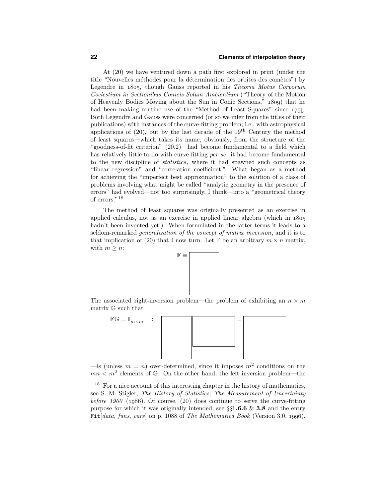# **22 Elements of interpolation theory**

At (20) we have ventured down a path first explored in print (under the title "Nouvelles méthodes pour la détermination des orbites des comètes") by Legendre in  $1805$ , though Gauss reported in his Theoria Motus Corporum Coelestium in Sectionibus Conicis Solum Ambientium ("Theory of the Motion of Heavenly Bodies Moving about the Sun in Conic Sections," ) that he had been making routine use of the "Method of Least Squares" since 1795. Both Legendre and Gauss were concerned (or so we infer from the titles of their publications) with instances of the curve-fitting problem; i.e., with astrophysical applications of  $(20)$ , but by the last decade of the  $19<sup>th</sup>$  Century the method of least squares—which takes its name, obviously, from the structure of the "goodness-of-fit criterion" (20.2)—had become fundamental to a field which has relatively little to do with curve-fitting *per se*: it had become fundamental to the new discipline of statistics, where it had spawned such concepts as "linear regression" and "correlation coefficient." What began as a method for achieving the "imperfect best approximation" to the solution of a class of problems involving what might be called "analytic geometry in the presence of errors" had evolved—not too surprisingly, I think—into a "geometrical theory of errors."<sup>18</sup>

The method of least squares was originally presented as an exercise in applied calculus, not as an exercise in applied linear algebra (which in hadn't been invented yet!). When formulated in the latter terms it leads to a seldom-remarked generalization of the concept of matrix inversion, and it is to that implication of (20) that I now turn. Let  $\mathbb{F}$  be an arbitrary  $m \times n$  matrix, with  $m \geq n$ :



The associated right-inversion problem—the problem of exhibiting an  $n \times m$ matrix G such that



—is (unless  $m = n$ ) over-determined, since it imposes  $m^2$  conditions on the  $mn < m<sup>2</sup>$  elements of G. On the other hand, the left inversion problem—the

<sup>&</sup>lt;sup>18</sup> For a nice account of this interesting chapter in the history of mathematics, see S. M. Stigler, The History of Statistics; The Measurement of Uncertainty before  $1900$  (1986). Of course, (20) does continue to serve the curve-fitting purpose for which it was originally intended; see §§**1.6.6** & **3.8** and the entry Fit $[data, funs, vars]$  on p. 1088 of The Mathematica Book (Version 3.0, 1996).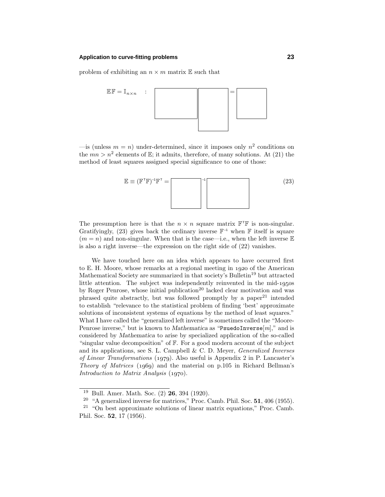# **Application to curve-fitting problems 23**

problem of exhibiting an  $n \times m$  matrix  $E$  such that



 $\frac{1}{n}$  (unless  $m = n$ ) under-determined, since it imposes only  $n^2$  conditions on the  $mn > n^2$  elements of E; it admits, therefore, of many solutions. At (21) the method of least squares assigned special significance to one of those:

$$
\mathbb{E} \equiv (\mathbb{F}^{\mathsf{T}} \mathbb{F})^{-1} \mathbb{F}^{\mathsf{T}} = \tag{23}
$$

The presumption here is that the  $n \times n$  square matrix  $\mathbb{F}^T \mathbb{F}$  is non-singular. Gratifyingly, (23) gives back the ordinary inverse  $\mathbb{F}^{-1}$  when  $\mathbb F$  itself is square  $(m = n)$  and non-singular. When that is the case—i.e., when the left inverse  $E$ is also a right inverse—the expression on the right side of (22) vanishes.

We have touched here on an idea which appears to have occurred first to E. H. Moore, whose remarks at a regional meeting in 1920 of the American Mathematical Society are summarized in that society's Bulletin<sup>19</sup> but attracted little attention. The subject was independently reinvented in the mid-1950s by Roger Penrose, whose initial publication<sup>20</sup> lacked clear motivation and was phrased quite abstractly, but was followed promptly by a paper<sup>21</sup> intended to establish "relevance to the statistical problem of finding 'best' approximate solutions of inconsistent systems of equations by the method of least squares." What I have called the "generalized left inverse" is sometimes called the "Moore-Penrose inverse," but is known to *Mathematica* as "PsuedoInverse $[m]$ ," and is considered by *Mathematica* to arise by specialized application of the so-called "singular value decomposition" of  $\mathbb{F}$ . For a good modern account of the subject and its applications, see S. L. Campbell & C. D. Meyer, Generalized Inverses of Linear Transformations (1979). Also useful is Appendix 2 in P. Lancaster's Theory of Matrices  $(1969)$  and the material on p.105 in Richard Bellman's Introduction to Matrix Analysis  $(1970)$ .

<sup>19</sup> Bull. Amer. Math. Soc. (2) **26**, 394 (1920).

<sup>20</sup> "A generalized inverse for matrices," Proc. Camb. Phil. Soc. **51**, 406 (1955).

 $21$  "On best approximate solutions of linear matrix equations," Proc. Camb. Phil. Soc. **52**, 17 (1956).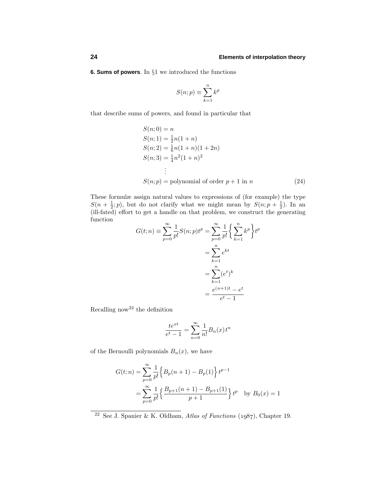**6. Sums of powers**. In §1 we introduced the functions

$$
S(n; p) \equiv \sum_{k=1}^{n} k^p
$$

that describe sums of powers, and found in particular that

$$
S(n; 0) = n
$$
  
\n
$$
S(n; 1) = \frac{1}{2}n(1+n)
$$
  
\n
$$
S(n; 2) = \frac{1}{6}n(1+n)(1+2n)
$$
  
\n
$$
S(n; 3) = \frac{1}{4}n^2(1+n)^2
$$
  
\n:  
\n
$$
S(n; p) = \text{polynomial of order } p+1 \text{ in } n
$$
 (24)

These formulæ assign natural values to expressions of (for example) the type  $S(n + \frac{1}{2}; p)$ , but do not clarify what we might mean by  $S(n; p + \frac{1}{2})$ . In an (ill-fated) effort to get a handle on that problem, we construct the generating function

$$
G(t; n) \equiv \sum_{p=0}^{\infty} \frac{1}{p!} S(n; p) t^p = \sum_{p=0}^{\infty} \frac{1}{p!} \left\{ \sum_{k=1}^n k^p \right\} t^p
$$

$$
= \sum_{k=1}^n e^{kt}
$$

$$
= \sum_{k=1}^n (e^t)^k
$$

$$
= \frac{e^{(n+1)t} - e^t}{e^t - 1}
$$

Recalling now<sup>22</sup> the definition

$$
\frac{te^{xt}}{e^t - 1} = \sum_{n=0}^{\infty} \frac{1}{n!} B_n(x) t^n
$$

of the Bernoulli polynomials  $B_n(x)$ , we have

$$
G(t; n) = \sum_{p=0}^{\infty} \frac{1}{p!} \left\{ B_p(n+1) - B_p(1) \right\} t^{p-1}
$$
  
= 
$$
\sum_{p=0}^{\infty} \frac{1}{p!} \left\{ \frac{B_{p+1}(n+1) - B_{p+1}(1)}{p+1} \right\} t^p
$$
 by  $B_0(x) = 1$ 

 $22$  See J. Spanier & K. Oldham, Atlas of Functions (1987), Chapter 19.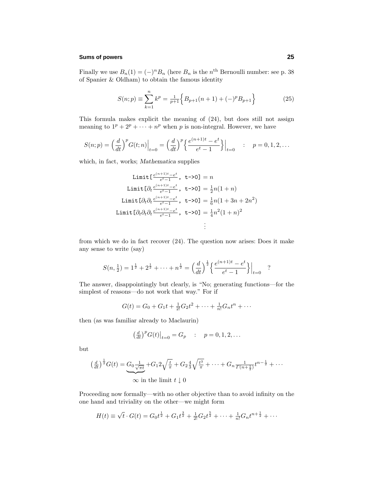## **Sums of powers 25**

Finally we use  $B_n(1) = (-)^n B_n$  (here  $B_n$  is the  $n^{\text{th}}$  Bernoulli number: see p. 38) of Spanier & Oldham) to obtain the famous identity

$$
S(n; p) \equiv \sum_{k=1}^{n} k^{p} = \frac{1}{p+1} \left\{ B_{p+1}(n+1) + (-)^{p} B_{p+1} \right\}
$$
 (25)

This formula makes explicit the meaning of (24), but does still not assign meaning to  $1^p + 2^p + \cdots + n^p$  when *p* is non-integral. However, we have

$$
S(n; p) = \left(\frac{d}{dt}\right)^p G(t; n)\Big|_{t=0} = \left(\frac{d}{dt}\right)^p \left\{\frac{e^{(n+1)t} - e^t}{e^t - 1}\right\}\Big|_{t=0} \quad : \quad p = 0, 1, 2, \dots
$$

which, in fact, works; *Mathematica* supplies

$$
\text{Limit}[\frac{e^{(n+1)t} - e^t}{e^t - 1}, \ t - >0] = n
$$
\n
$$
\text{Limit}[\partial_t \frac{e^{(n+1)t} - e^t}{e^t - 1}, \ t - >0] = \frac{1}{2}n(1+n)
$$
\n
$$
\text{Limit}[\partial_t \partial_t \frac{e^{(n+1)t} - e^t}{e^t - 1}, \ t - >0] = \frac{1}{6}n(1 + 3n + 2n^2)
$$
\n
$$
\text{Limit}[\partial_t \partial_t \partial_t \frac{e^{(n+1)t} - e^t}{e^t - 1}, \ t - >0] = \frac{1}{4}n^2(1+n)^2
$$
\n
$$
\vdots
$$

from which we do in fact recover (24). The question now arises: Does it make any sense to write (say)

$$
S(n, \frac{1}{2}) = 1^{\frac{1}{2}} + 2^{\frac{1}{2}} + \dots + n^{\frac{1}{2}} = \left(\frac{d}{dt}\right)^{\frac{1}{2}} \left\{ \frac{e^{(n+1)t} - e^t}{e^t - 1} \right\} \Big|_{t=0} \quad ?
$$

The answer, disappointingly but clearly, is "No; generating functions—for the simplest of reasons—do not work that way." For if

$$
G(t) = G_0 + G_1 t + \frac{1}{2!} G_2 t^2 + \dots + \frac{1}{n!} G_n t^n + \dots
$$

then (as was familiar already to Maclaurin)

$$
\left(\frac{d}{dt}\right)^{p} G(t)\big|_{t=0} = G_p
$$
 :  $p = 0, 1, 2, ...$ 

but

$$
\left(\frac{d}{dt}\right)^{\frac{1}{2}}G(t) = \underbrace{G_0 \frac{1}{\sqrt{\pi t}}}_{\infty \text{ in the limit } t \downarrow 0} + G_1 2\sqrt{\frac{t}{\pi}} + G_2 \frac{4}{3} \sqrt{\frac{t^3}{\pi}} + \dots + G_n \frac{1}{\Gamma(n + \frac{1}{2})} t^{n - \frac{1}{2}} + \dots
$$

Proceeding now formally—with no other objective than to avoid infinity on the one hand and triviality on the other—we might form

$$
H(t) \equiv \sqrt{t} \cdot G(t) = G_0 t^{\frac{1}{2}} + G_1 t^{\frac{3}{2}} + \frac{1}{2!} G_2 t^{\frac{5}{2}} + \dots + \frac{1}{n!} G_n t^{n + \frac{1}{2}} + \dots
$$